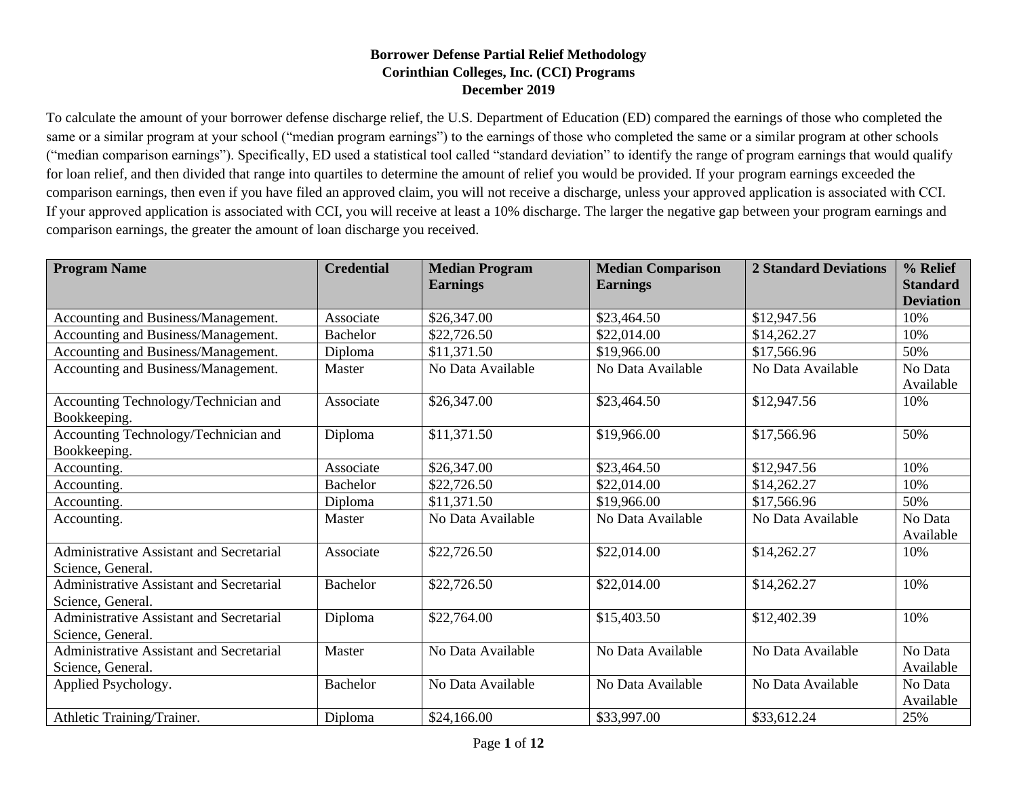## **Borrower Defense Partial Relief Methodology Corinthian Colleges, Inc. (CCI) Programs December 2019**

To calculate the amount of your borrower defense discharge relief, the U.S. Department of Education (ED) compared the earnings of those who completed the same or a similar program at your school ("median program earnings") to the earnings of those who completed the same or a similar program at other schools ("median comparison earnings"). Specifically, ED used a statistical tool called "standard deviation" to identify the range of program earnings that would qualify for loan relief, and then divided that range into quartiles to determine the amount of relief you would be provided. If your program earnings exceeded the comparison earnings, then even if you have filed an approved claim, you will not receive a discharge, unless your approved application is associated with CCI. If your approved application is associated with CCI, you will receive at least a 10% discharge. The larger the negative gap between your program earnings and comparison earnings, the greater the amount of loan discharge you received.

| <b>Program Name</b>                                           | <b>Credential</b> | <b>Median Program</b><br><b>Earnings</b> | <b>Median Comparison</b><br><b>Earnings</b> | <b>2 Standard Deviations</b> | % Relief<br><b>Standard</b><br><b>Deviation</b> |
|---------------------------------------------------------------|-------------------|------------------------------------------|---------------------------------------------|------------------------------|-------------------------------------------------|
| Accounting and Business/Management.                           | Associate         | \$26,347.00                              | \$23,464.50                                 | \$12,947.56                  | 10%                                             |
| Accounting and Business/Management.                           | <b>Bachelor</b>   | \$22,726.50                              | \$22,014.00                                 | \$14,262.27                  | 10%                                             |
| Accounting and Business/Management.                           | Diploma           | \$11,371.50                              | \$19,966.00                                 | \$17,566.96                  | 50%                                             |
| Accounting and Business/Management.                           | Master            | No Data Available                        | No Data Available                           | No Data Available            | No Data<br>Available                            |
| Accounting Technology/Technician and<br>Bookkeeping.          | Associate         | \$26,347.00                              | \$23,464.50                                 | \$12,947.56                  | 10%                                             |
| Accounting Technology/Technician and<br>Bookkeeping.          | Diploma           | \$11,371.50                              | \$19,966.00                                 | \$17,566.96                  | 50%                                             |
| Accounting.                                                   | Associate         | \$26,347.00                              | \$23,464.50                                 | \$12,947.56                  | 10%                                             |
| Accounting.                                                   | <b>Bachelor</b>   | \$22,726.50                              | \$22,014.00                                 | \$14,262.27                  | 10%                                             |
| Accounting.                                                   | Diploma           | \$11,371.50                              | \$19,966.00                                 | \$17,566.96                  | 50%                                             |
| Accounting.                                                   | Master            | No Data Available                        | No Data Available                           | No Data Available            | No Data<br>Available                            |
| Administrative Assistant and Secretarial<br>Science, General. | Associate         | \$22,726.50                              | \$22,014.00                                 | \$14,262.27                  | 10%                                             |
| Administrative Assistant and Secretarial<br>Science, General. | <b>Bachelor</b>   | \$22,726.50                              | \$22,014.00                                 | \$14,262.27                  | 10%                                             |
| Administrative Assistant and Secretarial<br>Science, General. | Diploma           | \$22,764.00                              | \$15,403.50                                 | \$12,402.39                  | 10%                                             |
| Administrative Assistant and Secretarial<br>Science, General. | Master            | No Data Available                        | No Data Available                           | No Data Available            | No Data<br>Available                            |
| Applied Psychology.                                           | <b>Bachelor</b>   | No Data Available                        | No Data Available                           | No Data Available            | No Data<br>Available                            |
| Athletic Training/Trainer.                                    | Diploma           | \$24,166.00                              | \$33,997.00                                 | \$33,612.24                  | 25%                                             |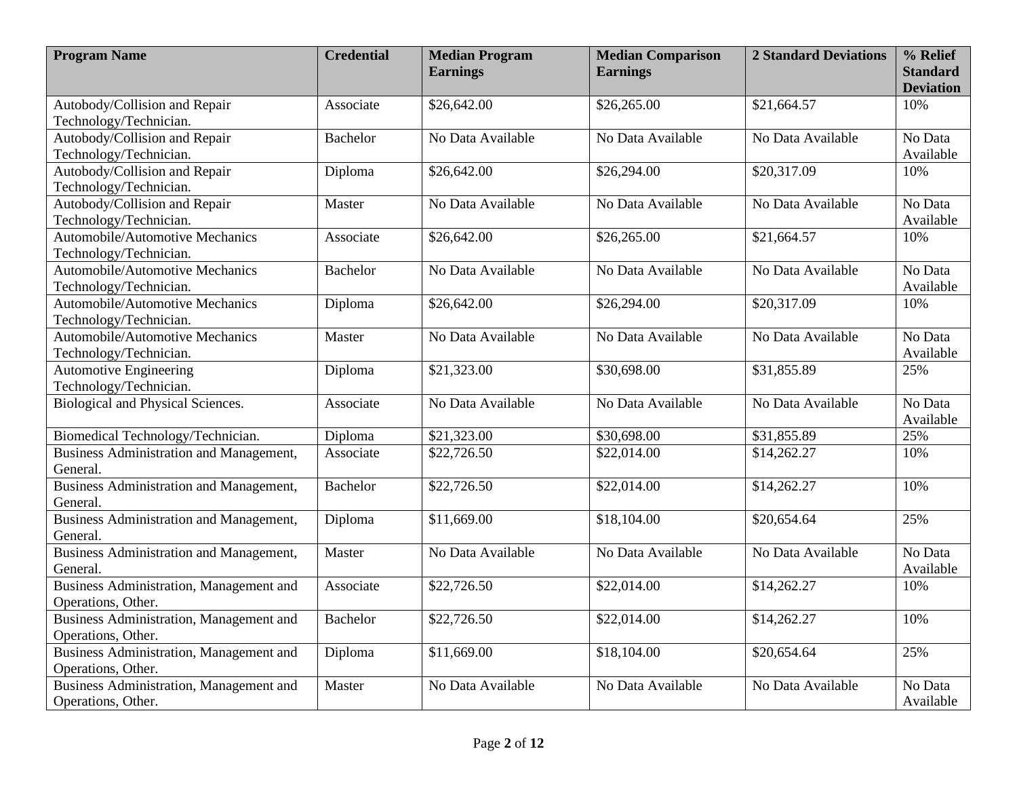| <b>Program Name</b>                            | <b>Credential</b> | <b>Median Program</b><br><b>Earnings</b> | <b>Median Comparison</b><br><b>Earnings</b> | <b>2 Standard Deviations</b> | $%$ Relief<br><b>Standard</b> |
|------------------------------------------------|-------------------|------------------------------------------|---------------------------------------------|------------------------------|-------------------------------|
|                                                |                   |                                          |                                             |                              | <b>Deviation</b>              |
| Autobody/Collision and Repair                  | Associate         | \$26,642.00                              | \$26,265.00                                 | \$21,664.57                  | 10%                           |
| Technology/Technician.                         |                   |                                          |                                             |                              |                               |
| Autobody/Collision and Repair                  | <b>Bachelor</b>   | No Data Available                        | No Data Available                           | No Data Available            | No Data                       |
| Technology/Technician.                         |                   |                                          |                                             |                              | Available                     |
| Autobody/Collision and Repair                  | Diploma           | \$26,642.00                              | \$26,294.00                                 | \$20,317.09                  | 10%                           |
| Technology/Technician.                         |                   |                                          |                                             |                              |                               |
| Autobody/Collision and Repair                  | Master            | No Data Available                        | No Data Available                           | No Data Available            | No Data                       |
| Technology/Technician.                         |                   |                                          |                                             |                              | Available                     |
| Automobile/Automotive Mechanics                | Associate         | \$26,642.00                              | \$26,265.00                                 | \$21,664.57                  | 10%                           |
| Technology/Technician.                         |                   |                                          |                                             |                              |                               |
| Automobile/Automotive Mechanics                | <b>Bachelor</b>   | No Data Available                        | No Data Available                           | No Data Available            | No Data                       |
| Technology/Technician.                         |                   |                                          |                                             |                              | Available                     |
| Automobile/Automotive Mechanics                | Diploma           | \$26,642.00                              | \$26,294.00                                 | \$20,317.09                  | 10%                           |
| Technology/Technician.                         |                   |                                          |                                             |                              |                               |
| Automobile/Automotive Mechanics                | Master            | No Data Available                        | No Data Available                           | No Data Available            | No Data                       |
| Technology/Technician.                         |                   |                                          |                                             |                              | Available                     |
| <b>Automotive Engineering</b>                  | Diploma           | \$21,323.00                              | \$30,698.00                                 | \$31,855.89                  | 25%                           |
| Technology/Technician.                         |                   |                                          |                                             |                              |                               |
| Biological and Physical Sciences.              | Associate         | No Data Available                        | No Data Available                           | No Data Available            | No Data                       |
|                                                |                   |                                          |                                             |                              | Available                     |
| Biomedical Technology/Technician.              | Diploma           | \$21,323.00                              | \$30,698.00                                 | \$31,855.89                  | 25%                           |
| Business Administration and Management,        | Associate         | \$22,726.50                              | \$22,014.00                                 | \$14,262.27                  | 10%                           |
| General.                                       |                   |                                          |                                             |                              |                               |
| <b>Business Administration and Management,</b> | <b>Bachelor</b>   | \$22,726.50                              | \$22,014.00                                 | \$14,262.27                  | 10%                           |
| General.                                       |                   |                                          |                                             |                              |                               |
| Business Administration and Management,        | Diploma           | \$11,669.00                              | \$18,104.00                                 | \$20,654.64                  | 25%                           |
| General.                                       |                   |                                          |                                             |                              |                               |
| Business Administration and Management,        | Master            | No Data Available                        | No Data Available                           | No Data Available            | No Data                       |
| General.                                       |                   |                                          |                                             |                              | Available                     |
| Business Administration, Management and        | Associate         | \$22,726.50                              | \$22,014.00                                 | \$14,262.27                  | 10%                           |
| Operations, Other.                             |                   |                                          |                                             |                              |                               |
| Business Administration, Management and        | <b>Bachelor</b>   | \$22,726.50                              | \$22,014.00                                 | \$14,262.27                  | 10%                           |
| Operations, Other.                             |                   |                                          |                                             |                              |                               |
| Business Administration, Management and        | Diploma           | \$11,669.00                              | \$18,104.00                                 | \$20,654.64                  | 25%                           |
| Operations, Other.                             |                   |                                          |                                             |                              |                               |
| Business Administration, Management and        | Master            | No Data Available                        | No Data Available                           | No Data Available            | No Data                       |
| Operations, Other.                             |                   |                                          |                                             |                              | Available                     |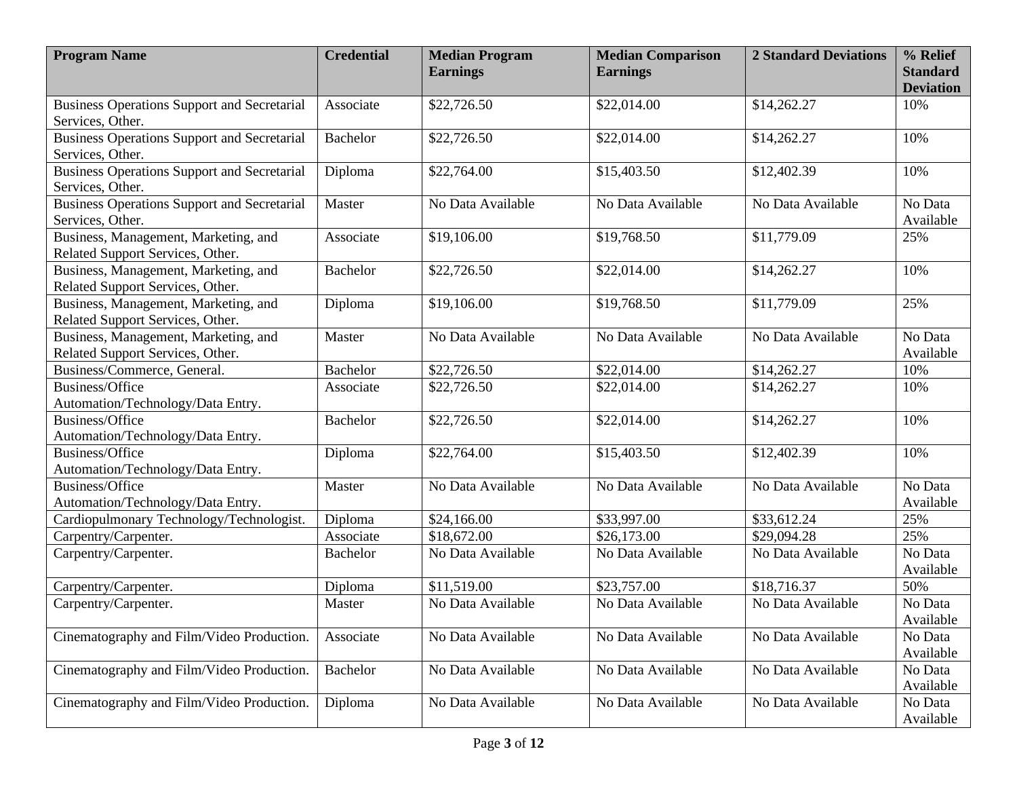| <b>Program Name</b>                                                      | <b>Credential</b> | <b>Median Program</b><br><b>Earnings</b> | <b>Median Comparison</b><br><b>Earnings</b> | <b>2 Standard Deviations</b> | % Relief<br><b>Standard</b> |
|--------------------------------------------------------------------------|-------------------|------------------------------------------|---------------------------------------------|------------------------------|-----------------------------|
|                                                                          |                   |                                          |                                             |                              | <b>Deviation</b>            |
| <b>Business Operations Support and Secretarial</b><br>Services, Other.   | Associate         | \$22,726.50                              | \$22,014.00                                 | \$14,262.27                  | 10%                         |
| <b>Business Operations Support and Secretarial</b><br>Services, Other.   | <b>Bachelor</b>   | \$22,726.50                              | \$22,014.00                                 | \$14,262.27                  | 10%                         |
| <b>Business Operations Support and Secretarial</b><br>Services, Other.   | Diploma           | \$22,764.00                              | \$15,403.50                                 | \$12,402.39                  | 10%                         |
| <b>Business Operations Support and Secretarial</b><br>Services, Other.   | Master            | No Data Available                        | No Data Available                           | No Data Available            | No Data<br>Available        |
| Business, Management, Marketing, and<br>Related Support Services, Other. | Associate         | \$19,106.00                              | \$19,768.50                                 | \$11,779.09                  | 25%                         |
| Business, Management, Marketing, and<br>Related Support Services, Other. | <b>Bachelor</b>   | \$22,726.50                              | \$22,014.00                                 | \$14,262.27                  | 10%                         |
| Business, Management, Marketing, and<br>Related Support Services, Other. | Diploma           | \$19,106.00                              | \$19,768.50                                 | \$11,779.09                  | 25%                         |
| Business, Management, Marketing, and<br>Related Support Services, Other. | Master            | No Data Available                        | No Data Available                           | No Data Available            | No Data<br>Available        |
| Business/Commerce, General.                                              | <b>Bachelor</b>   | \$22,726.50                              | \$22,014.00                                 | \$14,262.27                  | 10%                         |
| Business/Office<br>Automation/Technology/Data Entry.                     | Associate         | \$22,726.50                              | \$22,014.00                                 | \$14,262.27                  | 10%                         |
| Business/Office<br>Automation/Technology/Data Entry.                     | <b>Bachelor</b>   | \$22,726.50                              | \$22,014.00                                 | \$14,262.27                  | 10%                         |
| Business/Office<br>Automation/Technology/Data Entry.                     | Diploma           | \$22,764.00                              | \$15,403.50                                 | \$12,402.39                  | 10%                         |
| Business/Office<br>Automation/Technology/Data Entry.                     | Master            | No Data Available                        | No Data Available                           | No Data Available            | No Data<br>Available        |
| Cardiopulmonary Technology/Technologist.                                 | Diploma           | \$24,166.00                              | \$33,997.00                                 | \$33,612.24                  | 25%                         |
| Carpentry/Carpenter.                                                     | Associate         | \$18,672.00                              | \$26,173.00                                 | \$29,094.28                  | 25%                         |
| Carpentry/Carpenter.                                                     | <b>Bachelor</b>   | No Data Available                        | No Data Available                           | No Data Available            | No Data<br>Available        |
| Carpentry/Carpenter.                                                     | Diploma           | \$11,519.00                              | \$23,757.00                                 | \$18,716.37                  | 50%                         |
| Carpentry/Carpenter.                                                     | Master            | No Data Available                        | No Data Available                           | No Data Available            | No Data<br>Available        |
| Cinematography and Film/Video Production.                                | Associate         | No Data Available                        | No Data Available                           | No Data Available            | No Data<br>Available        |
| Cinematography and Film/Video Production.                                | <b>Bachelor</b>   | No Data Available                        | No Data Available                           | No Data Available            | No Data<br>Available        |
| Cinematography and Film/Video Production.                                | Diploma           | No Data Available                        | No Data Available                           | No Data Available            | No Data<br>Available        |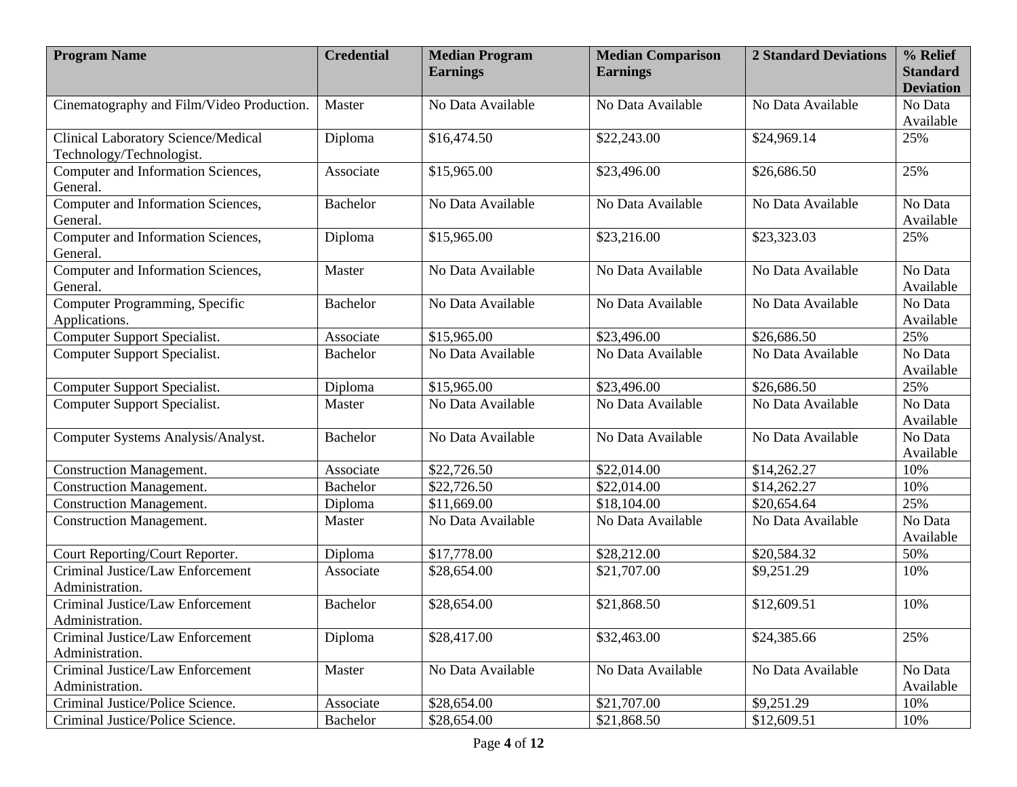| <b>Program Name</b>                                             | <b>Credential</b> | <b>Median Program</b> | <b>Median Comparison</b> | <b>2 Standard Deviations</b> | % Relief             |
|-----------------------------------------------------------------|-------------------|-----------------------|--------------------------|------------------------------|----------------------|
|                                                                 |                   | <b>Earnings</b>       | <b>Earnings</b>          |                              | <b>Standard</b>      |
|                                                                 |                   |                       |                          |                              | <b>Deviation</b>     |
| Cinematography and Film/Video Production.                       | Master            | No Data Available     | No Data Available        | No Data Available            | No Data              |
|                                                                 |                   |                       |                          |                              | Available            |
| Clinical Laboratory Science/Medical<br>Technology/Technologist. | Diploma           | \$16,474.50           | \$22,243.00              | \$24,969.14                  | 25%                  |
| Computer and Information Sciences,<br>General.                  | Associate         | \$15,965.00           | \$23,496.00              | \$26,686.50                  | 25%                  |
| Computer and Information Sciences,<br>General.                  | <b>Bachelor</b>   | No Data Available     | No Data Available        | No Data Available            | No Data<br>Available |
| Computer and Information Sciences,<br>General.                  | Diploma           | \$15,965.00           | \$23,216.00              | \$23,323.03                  | 25%                  |
| Computer and Information Sciences,<br>General.                  | Master            | No Data Available     | No Data Available        | No Data Available            | No Data<br>Available |
| Computer Programming, Specific<br>Applications.                 | <b>Bachelor</b>   | No Data Available     | No Data Available        | No Data Available            | No Data<br>Available |
| Computer Support Specialist.                                    | Associate         | \$15,965.00           | \$23,496.00              | \$26,686.50                  | 25%                  |
| Computer Support Specialist.                                    | <b>Bachelor</b>   | No Data Available     | No Data Available        | No Data Available            | No Data<br>Available |
| Computer Support Specialist.                                    | Diploma           | \$15,965.00           | \$23,496.00              | \$26,686.50                  | 25%                  |
| Computer Support Specialist.                                    | Master            | No Data Available     | No Data Available        | No Data Available            | No Data<br>Available |
| Computer Systems Analysis/Analyst.                              | <b>Bachelor</b>   | No Data Available     | No Data Available        | No Data Available            | No Data<br>Available |
| <b>Construction Management.</b>                                 | Associate         | \$22,726.50           | \$22,014.00              | \$14,262.27                  | 10%                  |
| <b>Construction Management.</b>                                 | <b>Bachelor</b>   | \$22,726.50           | \$22,014.00              | \$14,262.27                  | 10%                  |
| <b>Construction Management.</b>                                 | Diploma           | \$11,669.00           | \$18,104.00              | \$20,654.64                  | 25%                  |
| <b>Construction Management.</b>                                 | Master            | No Data Available     | No Data Available        | No Data Available            | No Data<br>Available |
| Court Reporting/Court Reporter.                                 | Diploma           | \$17,778.00           | \$28,212.00              | \$20,584.32                  | 50%                  |
| Criminal Justice/Law Enforcement<br>Administration.             | Associate         | \$28,654.00           | \$21,707.00              | \$9,251.29                   | 10%                  |
| Criminal Justice/Law Enforcement<br>Administration.             | <b>Bachelor</b>   | \$28,654.00           | \$21,868.50              | \$12,609.51                  | 10%                  |
| Criminal Justice/Law Enforcement                                | Diploma           | \$28,417.00           | \$32,463.00              | \$24,385.66                  | 25%                  |
| Administration.                                                 |                   |                       |                          |                              |                      |
| Criminal Justice/Law Enforcement<br>Administration.             | Master            | No Data Available     | No Data Available        | No Data Available            | No Data<br>Available |
| Criminal Justice/Police Science.                                | Associate         | \$28,654.00           | \$21,707.00              | \$9,251.29                   | 10%                  |
| Criminal Justice/Police Science.                                | Bachelor          | \$28,654.00           | \$21,868.50              | \$12,609.51                  | 10%                  |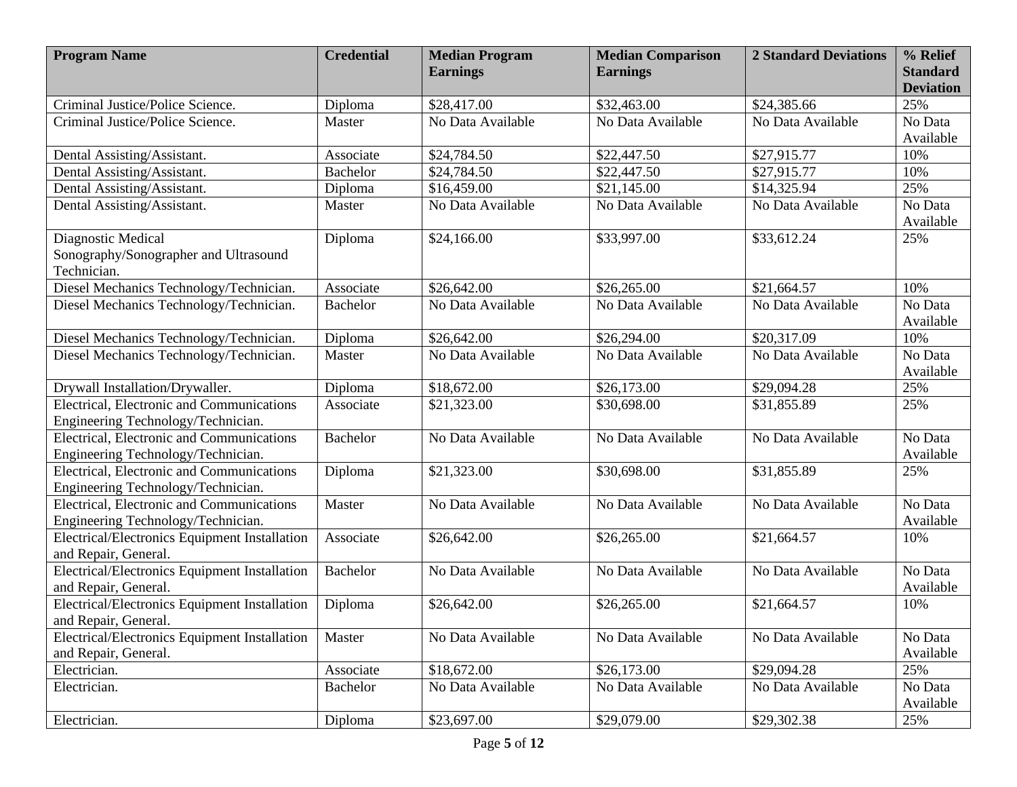| <b>Program Name</b>                                                             | <b>Credential</b> | <b>Median Program</b> | <b>Median Comparison</b> | <b>2 Standard Deviations</b> | % Relief                            |
|---------------------------------------------------------------------------------|-------------------|-----------------------|--------------------------|------------------------------|-------------------------------------|
|                                                                                 |                   | <b>Earnings</b>       | <b>Earnings</b>          |                              | <b>Standard</b><br><b>Deviation</b> |
| Criminal Justice/Police Science.                                                | Diploma           | \$28,417.00           | \$32,463.00              | \$24,385.66                  | 25%                                 |
| Criminal Justice/Police Science.                                                | Master            | No Data Available     | No Data Available        | No Data Available            | No Data                             |
|                                                                                 |                   |                       |                          |                              | Available                           |
| Dental Assisting/Assistant.                                                     | Associate         | \$24,784.50           | \$22,447.50              | \$27,915.77                  | 10%                                 |
| Dental Assisting/Assistant.                                                     | <b>Bachelor</b>   | \$24,784.50           | \$22,447.50              | \$27,915.77                  | 10%                                 |
| Dental Assisting/Assistant.                                                     | Diploma           | \$16,459.00           | \$21,145.00              | \$14,325.94                  | 25%                                 |
| Dental Assisting/Assistant.                                                     | Master            | No Data Available     | No Data Available        | No Data Available            | No Data<br>Available                |
| Diagnostic Medical                                                              | Diploma           | \$24,166.00           | \$33,997.00              | \$33,612.24                  | 25%                                 |
| Sonography/Sonographer and Ultrasound<br>Technician.                            |                   |                       |                          |                              |                                     |
| Diesel Mechanics Technology/Technician.                                         | Associate         | \$26,642.00           | \$26,265.00              | \$21,664.57                  | 10%                                 |
| Diesel Mechanics Technology/Technician.                                         | <b>Bachelor</b>   | No Data Available     | No Data Available        | No Data Available            | No Data<br>Available                |
| Diesel Mechanics Technology/Technician.                                         | Diploma           | \$26,642.00           | \$26,294.00              | \$20,317.09                  | 10%                                 |
| Diesel Mechanics Technology/Technician.                                         | Master            | No Data Available     | No Data Available        | No Data Available            | No Data<br>Available                |
| Drywall Installation/Drywaller.                                                 | Diploma           | \$18,672.00           | \$26,173.00              | \$29,094.28                  | 25%                                 |
| Electrical, Electronic and Communications<br>Engineering Technology/Technician. | Associate         | \$21,323.00           | \$30,698.00              | \$31,855.89                  | 25%                                 |
| Electrical, Electronic and Communications<br>Engineering Technology/Technician. | <b>Bachelor</b>   | No Data Available     | No Data Available        | No Data Available            | No Data<br>Available                |
| Electrical, Electronic and Communications<br>Engineering Technology/Technician. | Diploma           | \$21,323.00           | \$30,698.00              | \$31,855.89                  | 25%                                 |
| Electrical, Electronic and Communications<br>Engineering Technology/Technician. | Master            | No Data Available     | No Data Available        | No Data Available            | No Data<br>Available                |
| Electrical/Electronics Equipment Installation<br>and Repair, General.           | Associate         | \$26,642.00           | \$26,265.00              | \$21,664.57                  | 10%                                 |
| Electrical/Electronics Equipment Installation<br>and Repair, General.           | <b>Bachelor</b>   | No Data Available     | No Data Available        | No Data Available            | No Data<br>Available                |
| Electrical/Electronics Equipment Installation<br>and Repair, General.           | Diploma           | \$26,642.00           | \$26,265.00              | \$21,664.57                  | 10%                                 |
| Electrical/Electronics Equipment Installation                                   | Master            | No Data Available     | No Data Available        | No Data Available            | No Data                             |
| and Repair, General.                                                            |                   |                       |                          |                              | Available                           |
| Electrician.                                                                    | Associate         | \$18,672.00           | \$26,173.00              | \$29,094.28                  | 25%                                 |
| Electrician.                                                                    | Bachelor          | No Data Available     | No Data Available        | No Data Available            | No Data<br>Available                |
| Electrician.                                                                    | Diploma           | \$23,697.00           | \$29,079.00              | \$29,302.38                  | 25%                                 |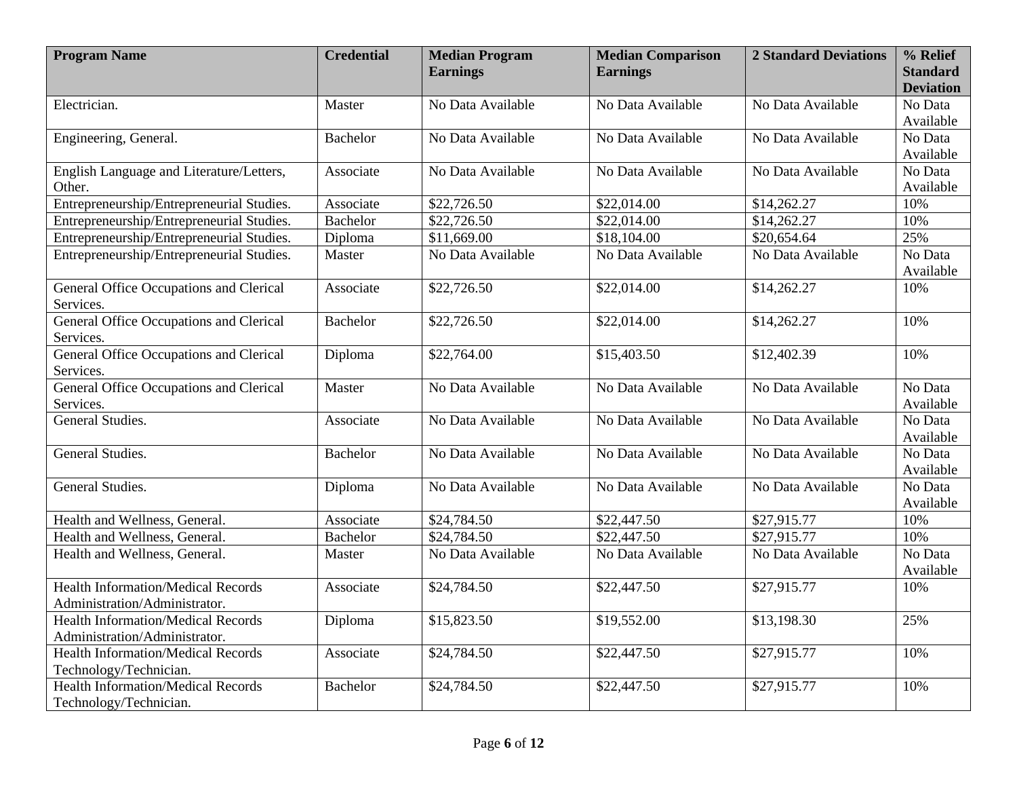| <b>Program Name</b>                                         | <b>Credential</b> | <b>Median Program</b> | <b>Median Comparison</b> | <b>2 Standard Deviations</b> | % Relief             |
|-------------------------------------------------------------|-------------------|-----------------------|--------------------------|------------------------------|----------------------|
|                                                             |                   | <b>Earnings</b>       | <b>Earnings</b>          |                              | <b>Standard</b>      |
|                                                             |                   |                       |                          |                              | <b>Deviation</b>     |
| Electrician.                                                | Master            | No Data Available     | No Data Available        | No Data Available            | No Data              |
|                                                             |                   |                       |                          |                              | Available            |
| Engineering, General.                                       | <b>Bachelor</b>   | No Data Available     | No Data Available        | No Data Available            | No Data              |
|                                                             |                   |                       |                          |                              | Available            |
| English Language and Literature/Letters,<br>Other.          | Associate         | No Data Available     | No Data Available        | No Data Available            | No Data<br>Available |
| Entrepreneurship/Entrepreneurial Studies.                   | Associate         | \$22,726.50           | \$22,014.00              | \$14,262.27                  | 10%                  |
| Entrepreneurship/Entrepreneurial Studies.                   | <b>Bachelor</b>   | \$22,726.50           | \$22,014.00              | \$14,262.27                  | 10%                  |
| Entrepreneurship/Entrepreneurial Studies.                   | Diploma           | \$11,669.00           | \$18,104.00              | \$20,654.64                  | 25%                  |
| Entrepreneurship/Entrepreneurial Studies.                   | Master            | No Data Available     | No Data Available        | No Data Available            | No Data<br>Available |
| General Office Occupations and Clerical<br>Services.        | Associate         | \$22,726.50           | \$22,014.00              | \$14,262.27                  | 10%                  |
| General Office Occupations and Clerical<br>Services.        | <b>Bachelor</b>   | \$22,726.50           | \$22,014.00              | \$14,262.27                  | 10%                  |
| <b>General Office Occupations and Clerical</b><br>Services. | Diploma           | \$22,764.00           | \$15,403.50              | \$12,402.39                  | 10%                  |
| General Office Occupations and Clerical                     | Master            | No Data Available     | No Data Available        | No Data Available            | No Data              |
| Services.                                                   |                   |                       |                          |                              | Available            |
| General Studies.                                            | Associate         | No Data Available     | No Data Available        | No Data Available            | No Data<br>Available |
| General Studies.                                            | <b>Bachelor</b>   | No Data Available     | No Data Available        | No Data Available            | No Data              |
|                                                             |                   |                       |                          |                              | Available            |
| General Studies.                                            | Diploma           | No Data Available     | No Data Available        | No Data Available            | No Data              |
|                                                             |                   |                       |                          |                              | Available            |
| Health and Wellness, General.                               | Associate         | \$24,784.50           | \$22,447.50              | \$27,915.77                  | 10%                  |
| Health and Wellness, General.                               | <b>Bachelor</b>   | \$24,784.50           | \$22,447.50              | \$27,915.77                  | 10%                  |
| Health and Wellness, General.                               | Master            | No Data Available     | No Data Available        | No Data Available            | No Data              |
|                                                             |                   |                       |                          |                              | Available            |
| <b>Health Information/Medical Records</b>                   | Associate         | \$24,784.50           | \$22,447.50              | \$27,915.77                  | 10%                  |
| Administration/Administrator.                               |                   |                       |                          |                              |                      |
| <b>Health Information/Medical Records</b>                   | Diploma           | \$15,823.50           | \$19,552.00              | \$13,198.30                  | 25%                  |
| Administration/Administrator.                               |                   |                       |                          |                              |                      |
| <b>Health Information/Medical Records</b>                   | Associate         | \$24,784.50           | \$22,447.50              | \$27,915.77                  | 10%                  |
| Technology/Technician.                                      |                   |                       |                          |                              |                      |
| <b>Health Information/Medical Records</b>                   | Bachelor          | \$24,784.50           | \$22,447.50              | \$27,915.77                  | 10%                  |
| Technology/Technician.                                      |                   |                       |                          |                              |                      |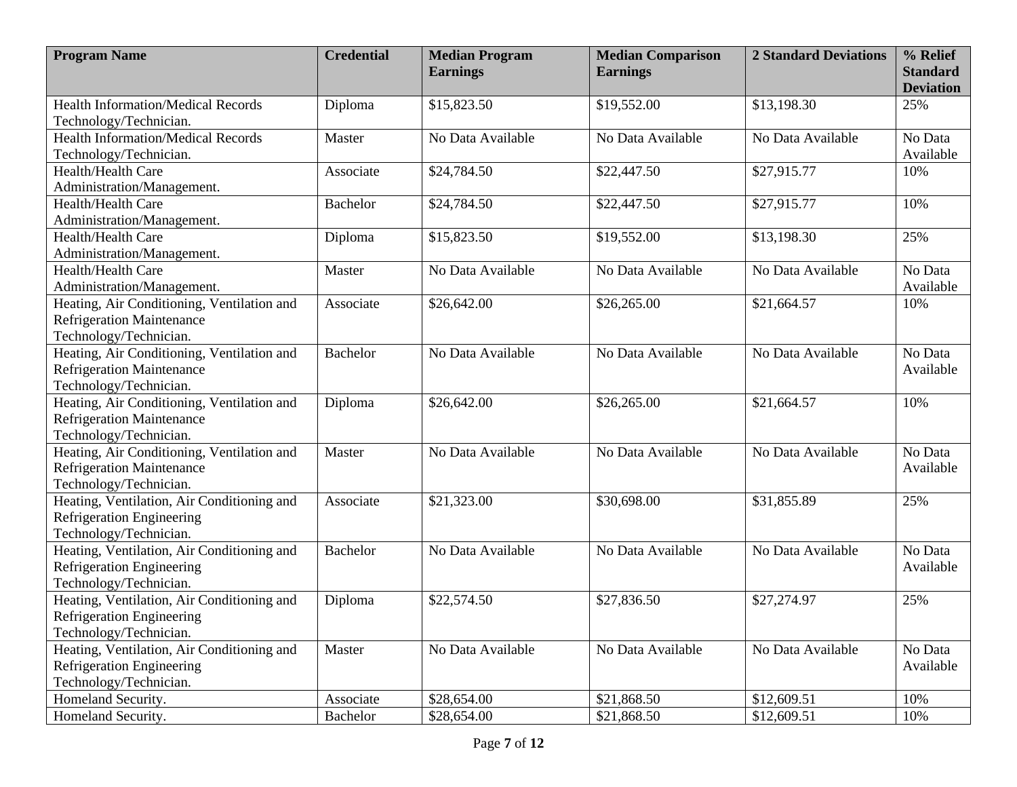| <b>Program Name</b>                        | <b>Credential</b> | <b>Median Program</b><br><b>Earnings</b> | <b>Median Comparison</b><br><b>Earnings</b> | <b>2 Standard Deviations</b> | % Relief<br><b>Standard</b> |
|--------------------------------------------|-------------------|------------------------------------------|---------------------------------------------|------------------------------|-----------------------------|
|                                            |                   |                                          |                                             |                              | <b>Deviation</b>            |
| <b>Health Information/Medical Records</b>  | Diploma           | \$15,823.50                              | \$19,552.00                                 | \$13,198.30                  | 25%                         |
| Technology/Technician.                     |                   |                                          |                                             |                              |                             |
| <b>Health Information/Medical Records</b>  | Master            | No Data Available                        | No Data Available                           | No Data Available            | No Data                     |
| Technology/Technician.                     |                   |                                          |                                             |                              | Available                   |
| Health/Health Care                         | Associate         | \$24,784.50                              | \$22,447.50                                 | \$27,915.77                  | 10%                         |
| Administration/Management.                 |                   |                                          |                                             |                              |                             |
| Health/Health Care                         | <b>Bachelor</b>   | \$24,784.50                              | \$22,447.50                                 | \$27,915.77                  | 10%                         |
| Administration/Management.                 |                   |                                          |                                             |                              |                             |
| Health/Health Care                         | Diploma           | \$15,823.50                              | \$19,552.00                                 | \$13,198.30                  | 25%                         |
| Administration/Management.                 |                   |                                          |                                             |                              |                             |
| Health/Health Care                         | Master            | No Data Available                        | No Data Available                           | No Data Available            | No Data                     |
| Administration/Management.                 |                   |                                          |                                             |                              | Available                   |
| Heating, Air Conditioning, Ventilation and | Associate         | \$26,642.00                              | \$26,265.00                                 | \$21,664.57                  | 10%                         |
| <b>Refrigeration Maintenance</b>           |                   |                                          |                                             |                              |                             |
| Technology/Technician.                     |                   |                                          |                                             |                              |                             |
| Heating, Air Conditioning, Ventilation and | <b>Bachelor</b>   | No Data Available                        | No Data Available                           | No Data Available            | No Data                     |
| <b>Refrigeration Maintenance</b>           |                   |                                          |                                             |                              | Available                   |
| Technology/Technician.                     |                   |                                          |                                             |                              |                             |
| Heating, Air Conditioning, Ventilation and | Diploma           | \$26,642.00                              | \$26,265.00                                 | \$21,664.57                  | 10%                         |
| <b>Refrigeration Maintenance</b>           |                   |                                          |                                             |                              |                             |
| Technology/Technician.                     |                   |                                          |                                             |                              |                             |
| Heating, Air Conditioning, Ventilation and | Master            | No Data Available                        | No Data Available                           | No Data Available            | No Data                     |
| <b>Refrigeration Maintenance</b>           |                   |                                          |                                             |                              | Available                   |
| Technology/Technician.                     |                   |                                          |                                             |                              |                             |
| Heating, Ventilation, Air Conditioning and | Associate         | \$21,323.00                              | \$30,698.00                                 | \$31,855.89                  | 25%                         |
| Refrigeration Engineering                  |                   |                                          |                                             |                              |                             |
| Technology/Technician.                     |                   |                                          |                                             |                              |                             |
| Heating, Ventilation, Air Conditioning and | <b>Bachelor</b>   | No Data Available                        | No Data Available                           | No Data Available            | No Data                     |
| Refrigeration Engineering                  |                   |                                          |                                             |                              | Available                   |
| Technology/Technician.                     |                   |                                          |                                             |                              |                             |
| Heating, Ventilation, Air Conditioning and | Diploma           | \$22,574.50                              | \$27,836.50                                 | \$27,274.97                  | 25%                         |
| Refrigeration Engineering                  |                   |                                          |                                             |                              |                             |
| Technology/Technician.                     |                   |                                          |                                             |                              |                             |
| Heating, Ventilation, Air Conditioning and | Master            | No Data Available                        | No Data Available                           | No Data Available            | No Data                     |
| Refrigeration Engineering                  |                   |                                          |                                             |                              | Available                   |
| Technology/Technician.                     |                   |                                          |                                             |                              |                             |
| Homeland Security.                         | Associate         | \$28,654.00                              | \$21,868.50                                 | \$12,609.51                  | 10%                         |
| Homeland Security.                         | Bachelor          | \$28,654.00                              | \$21,868.50                                 | \$12,609.51                  | 10%                         |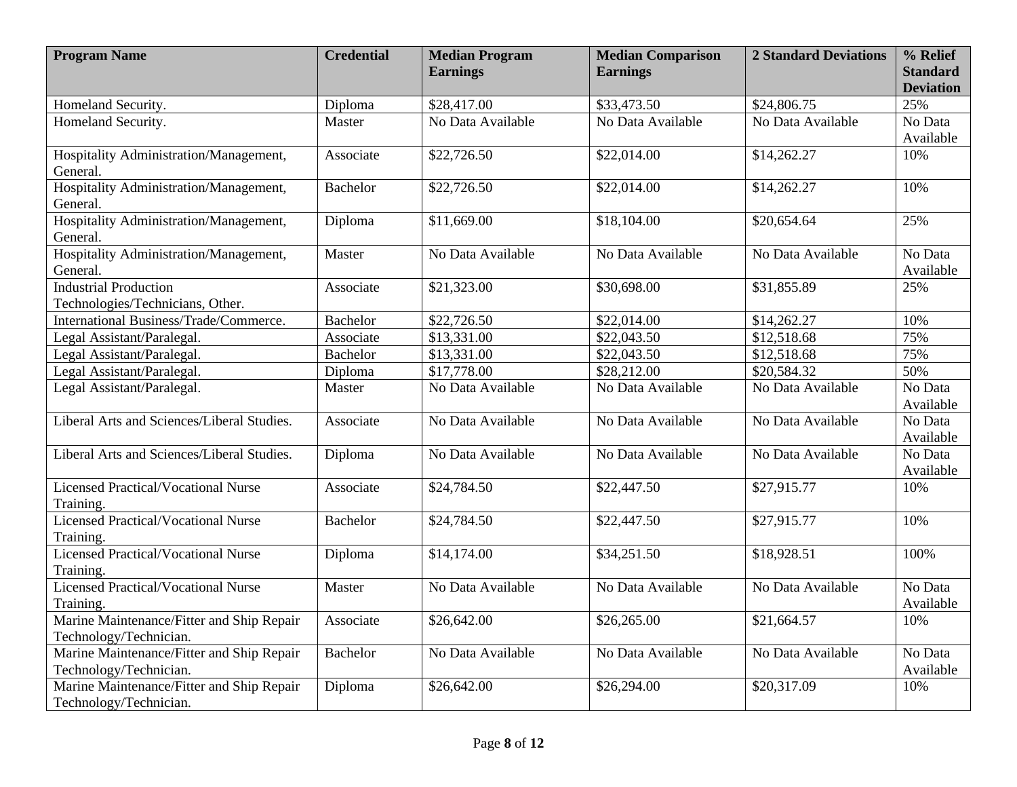| <b>Program Name</b>                                     | <b>Credential</b> | <b>Median Program</b><br><b>Earnings</b> | <b>Median Comparison</b><br><b>Earnings</b> | <b>2 Standard Deviations</b> | % Relief<br><b>Standard</b> |
|---------------------------------------------------------|-------------------|------------------------------------------|---------------------------------------------|------------------------------|-----------------------------|
|                                                         |                   |                                          |                                             |                              | <b>Deviation</b>            |
| Homeland Security.                                      | Diploma           | \$28,417.00                              | \$33,473.50                                 | \$24,806.75                  | 25%                         |
| Homeland Security.                                      | Master            | No Data Available                        | No Data Available                           | No Data Available            | No Data                     |
|                                                         |                   |                                          |                                             |                              | Available                   |
| Hospitality Administration/Management,                  | Associate         | \$22,726.50                              | \$22,014.00                                 | \$14,262.27                  | 10%                         |
| General.                                                |                   |                                          |                                             |                              |                             |
| Hospitality Administration/Management,                  | <b>Bachelor</b>   | \$22,726.50                              | \$22,014.00                                 | \$14,262.27                  | 10%                         |
| General.                                                |                   |                                          |                                             |                              |                             |
| Hospitality Administration/Management,                  | Diploma           | \$11,669.00                              | \$18,104.00                                 | \$20,654.64                  | 25%                         |
| General.                                                |                   | No Data Available                        | No Data Available                           | No Data Available            | No Data                     |
| Hospitality Administration/Management,<br>General.      | Master            |                                          |                                             |                              | Available                   |
| <b>Industrial Production</b>                            | Associate         | \$21,323.00                              | \$30,698.00                                 | \$31,855.89                  | 25%                         |
| Technologies/Technicians, Other.                        |                   |                                          |                                             |                              |                             |
| International Business/Trade/Commerce.                  | <b>Bachelor</b>   | \$22,726.50                              | \$22,014.00                                 | \$14,262.27                  | 10%                         |
| Legal Assistant/Paralegal.                              | Associate         | \$13,331.00                              | \$22,043.50                                 | \$12,518.68                  | 75%                         |
| Legal Assistant/Paralegal.                              | <b>Bachelor</b>   | \$13,331.00                              | $\overline{$}22,043.50$                     | \$12,518.68                  | 75%                         |
| Legal Assistant/Paralegal.                              | Diploma           | \$17,778.00                              | \$28,212.00                                 | \$20,584.32                  | 50%                         |
| Legal Assistant/Paralegal.                              | Master            | No Data Available                        | No Data Available                           | No Data Available            | No Data                     |
|                                                         |                   |                                          |                                             |                              | Available                   |
| Liberal Arts and Sciences/Liberal Studies.              | Associate         | No Data Available                        | No Data Available                           | No Data Available            | No Data                     |
|                                                         |                   |                                          |                                             |                              | Available                   |
| Liberal Arts and Sciences/Liberal Studies.              | Diploma           | No Data Available                        | No Data Available                           | No Data Available            | No Data                     |
|                                                         |                   |                                          |                                             |                              | Available                   |
| <b>Licensed Practical/Vocational Nurse</b>              | Associate         | \$24,784.50                              | \$22,447.50                                 | \$27,915.77                  | 10%                         |
| Training.                                               |                   |                                          |                                             |                              |                             |
| <b>Licensed Practical/Vocational Nurse</b>              | <b>Bachelor</b>   | \$24,784.50                              | \$22,447.50                                 | \$27,915.77                  | 10%                         |
| Training.                                               |                   |                                          |                                             |                              |                             |
| Licensed Practical/Vocational Nurse                     | Diploma           | \$14,174.00                              | \$34,251.50                                 | \$18,928.51                  | 100%                        |
| Training.<br><b>Licensed Practical/Vocational Nurse</b> | Master            | No Data Available                        | No Data Available                           | No Data Available            | No Data                     |
| Training.                                               |                   |                                          |                                             |                              | Available                   |
| Marine Maintenance/Fitter and Ship Repair               | Associate         | \$26,642.00                              | \$26,265.00                                 | \$21,664.57                  | 10%                         |
| Technology/Technician.                                  |                   |                                          |                                             |                              |                             |
| Marine Maintenance/Fitter and Ship Repair               | <b>Bachelor</b>   | No Data Available                        | No Data Available                           | No Data Available            | No Data                     |
| Technology/Technician.                                  |                   |                                          |                                             |                              | Available                   |
| Marine Maintenance/Fitter and Ship Repair               | Diploma           | \$26,642.00                              | \$26,294.00                                 | \$20,317.09                  | 10%                         |
| Technology/Technician.                                  |                   |                                          |                                             |                              |                             |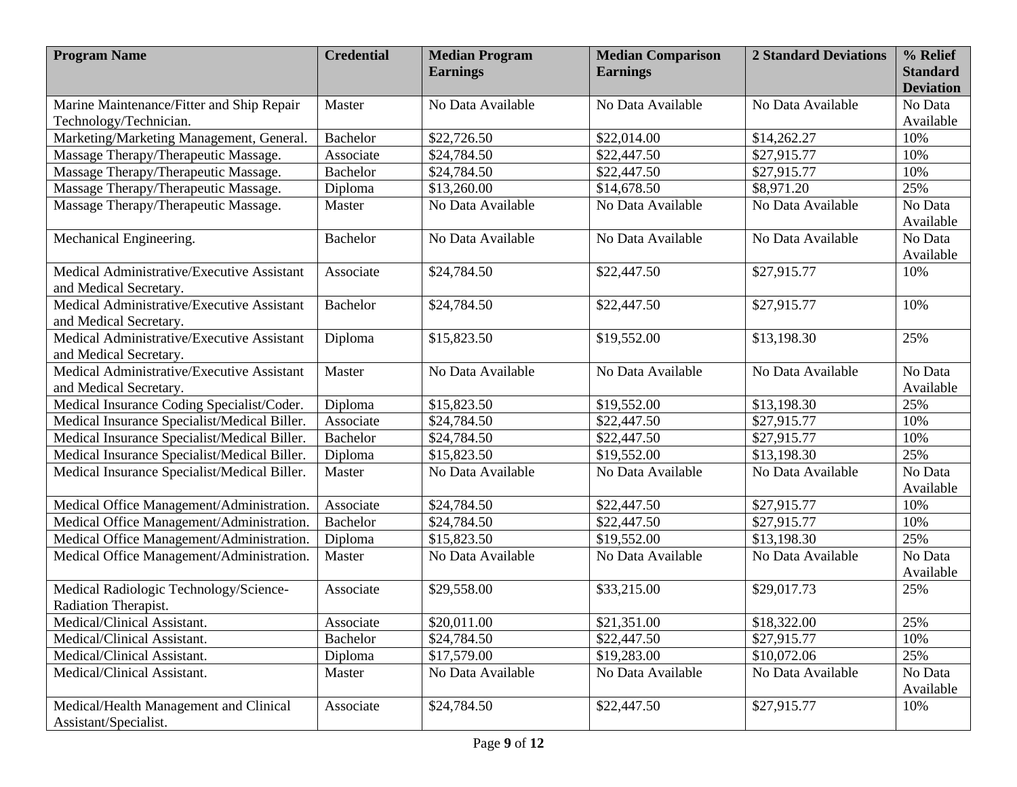| <b>Program Name</b>                                                  | <b>Credential</b> | <b>Median Program</b> | <b>Median Comparison</b> | <b>2 Standard Deviations</b> | % Relief                    |
|----------------------------------------------------------------------|-------------------|-----------------------|--------------------------|------------------------------|-----------------------------|
|                                                                      |                   | <b>Earnings</b>       | <b>Earnings</b>          |                              | <b>Standard</b>             |
| Marine Maintenance/Fitter and Ship Repair                            | Master            | No Data Available     | No Data Available        | No Data Available            | <b>Deviation</b><br>No Data |
| Technology/Technician.                                               |                   |                       |                          |                              | Available                   |
| Marketing/Marketing Management, General.                             | Bachelor          | \$22,726.50           | \$22,014.00              | \$14,262.27                  | 10%                         |
| Massage Therapy/Therapeutic Massage.                                 | Associate         | \$24,784.50           | \$22,447.50              | \$27,915.77                  | 10%                         |
| Massage Therapy/Therapeutic Massage.                                 | <b>Bachelor</b>   | \$24,784.50           | \$22,447.50              | \$27,915.77                  | 10%                         |
| Massage Therapy/Therapeutic Massage.                                 | Diploma           | \$13,260.00           | \$14,678.50              | \$8,971.20                   | 25%                         |
| Massage Therapy/Therapeutic Massage.                                 | Master            | No Data Available     | No Data Available        | No Data Available            | No Data<br>Available        |
| Mechanical Engineering.                                              | <b>Bachelor</b>   | No Data Available     | No Data Available        | No Data Available            | No Data                     |
|                                                                      |                   |                       |                          |                              | Available                   |
| Medical Administrative/Executive Assistant<br>and Medical Secretary. | Associate         | \$24,784.50           | \$22,447.50              | \$27,915.77                  | 10%                         |
| Medical Administrative/Executive Assistant<br>and Medical Secretary. | <b>Bachelor</b>   | \$24,784.50           | \$22,447.50              | \$27,915.77                  | 10%                         |
| Medical Administrative/Executive Assistant<br>and Medical Secretary. | Diploma           | \$15,823.50           | \$19,552.00              | \$13,198.30                  | 25%                         |
| Medical Administrative/Executive Assistant<br>and Medical Secretary. | Master            | No Data Available     | No Data Available        | No Data Available            | No Data<br>Available        |
| Medical Insurance Coding Specialist/Coder.                           | Diploma           | \$15,823.50           | \$19,552.00              | \$13,198.30                  | 25%                         |
| Medical Insurance Specialist/Medical Biller.                         | Associate         | \$24,784.50           | \$22,447.50              | \$27,915.77                  | 10%                         |
| Medical Insurance Specialist/Medical Biller.                         | <b>Bachelor</b>   | \$24,784.50           | \$22,447.50              | \$27,915.77                  | 10%                         |
| Medical Insurance Specialist/Medical Biller.                         | Diploma           | \$15,823.50           | \$19,552.00              | \$13,198.30                  | 25%                         |
| Medical Insurance Specialist/Medical Biller.                         | Master            | No Data Available     | No Data Available        | No Data Available            | No Data<br>Available        |
| Medical Office Management/Administration.                            | Associate         | \$24,784.50           | \$22,447.50              | \$27,915.77                  | 10%                         |
| Medical Office Management/Administration.                            | <b>Bachelor</b>   | \$24,784.50           | \$22,447.50              | \$27,915.77                  | 10%                         |
| Medical Office Management/Administration.                            | Diploma           | \$15,823.50           | \$19,552.00              | \$13,198.30                  | 25%                         |
| Medical Office Management/Administration.                            | Master            | No Data Available     | No Data Available        | No Data Available            | No Data<br>Available        |
| Medical Radiologic Technology/Science-<br>Radiation Therapist.       | Associate         | \$29,558.00           | \$33,215.00              | \$29,017.73                  | 25%                         |
| Medical/Clinical Assistant.                                          | Associate         | \$20,011.00           | \$21,351.00              | \$18,322.00                  | 25%                         |
| Medical/Clinical Assistant.                                          | Bachelor          | \$24,784.50           | \$22,447.50              | \$27,915.77                  | 10%                         |
| Medical/Clinical Assistant.                                          | Diploma           | \$17,579.00           | \$19,283.00              | \$10,072.06                  | 25%                         |
| Medical/Clinical Assistant.                                          | Master            | No Data Available     | No Data Available        | No Data Available            | No Data<br>Available        |
| Medical/Health Management and Clinical<br>Assistant/Specialist.      | Associate         | \$24,784.50           | \$22,447.50              | \$27,915.77                  | 10%                         |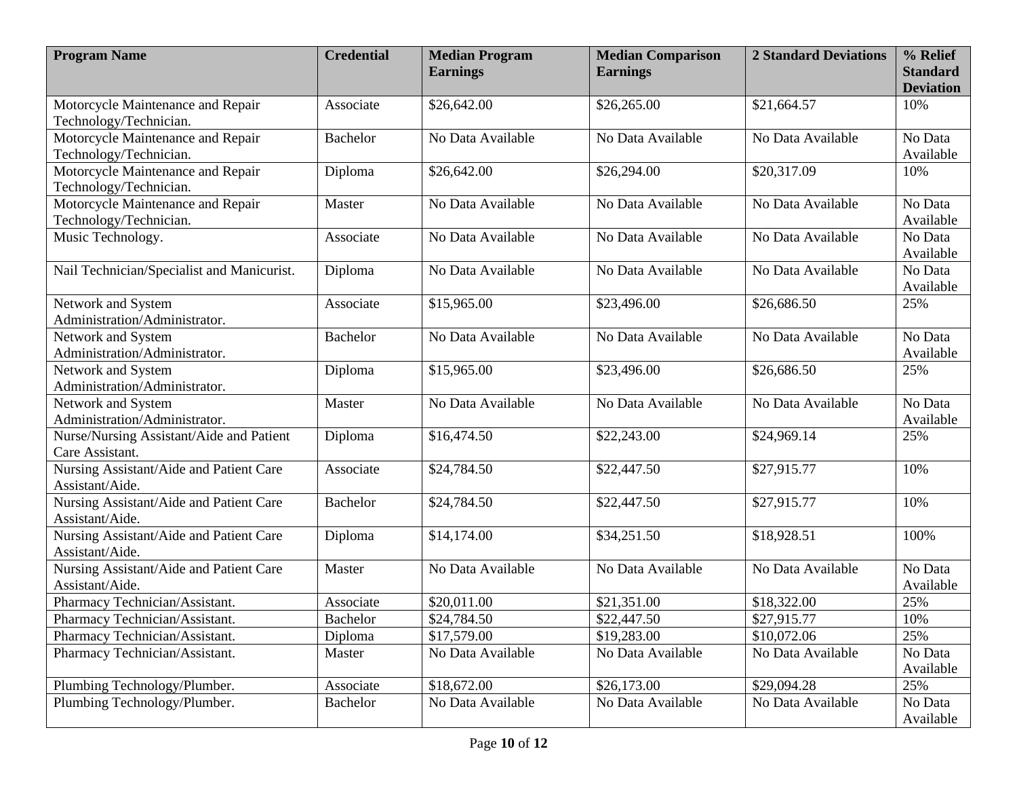| <b>Program Name</b>                                         | <b>Credential</b> | <b>Median Program</b><br><b>Earnings</b> | <b>Median Comparison</b><br><b>Earnings</b> | <b>2 Standard Deviations</b> | % Relief<br><b>Standard</b><br><b>Deviation</b> |
|-------------------------------------------------------------|-------------------|------------------------------------------|---------------------------------------------|------------------------------|-------------------------------------------------|
| Motorcycle Maintenance and Repair<br>Technology/Technician. | Associate         | \$26,642.00                              | \$26,265.00                                 | \$21,664.57                  | 10%                                             |
| Motorcycle Maintenance and Repair<br>Technology/Technician. | <b>Bachelor</b>   | No Data Available                        | No Data Available                           | No Data Available            | No Data<br>Available                            |
| Motorcycle Maintenance and Repair<br>Technology/Technician. | Diploma           | \$26,642.00                              | \$26,294.00                                 | \$20,317.09                  | 10%                                             |
| Motorcycle Maintenance and Repair<br>Technology/Technician. | Master            | No Data Available                        | No Data Available                           | No Data Available            | No Data<br>Available                            |
| Music Technology.                                           | Associate         | No Data Available                        | No Data Available                           | No Data Available            | No Data<br>Available                            |
| Nail Technician/Specialist and Manicurist.                  | Diploma           | No Data Available                        | No Data Available                           | No Data Available            | No Data<br>Available                            |
| Network and System<br>Administration/Administrator.         | Associate         | \$15,965.00                              | \$23,496.00                                 | \$26,686.50                  | 25%                                             |
| Network and System<br>Administration/Administrator.         | <b>Bachelor</b>   | No Data Available                        | No Data Available                           | No Data Available            | No Data<br>Available                            |
| Network and System<br>Administration/Administrator.         | Diploma           | \$15,965.00                              | \$23,496.00                                 | \$26,686.50                  | 25%                                             |
| Network and System<br>Administration/Administrator.         | Master            | No Data Available                        | No Data Available                           | No Data Available            | No Data<br>Available                            |
| Nurse/Nursing Assistant/Aide and Patient<br>Care Assistant. | Diploma           | \$16,474.50                              | \$22,243.00                                 | \$24,969.14                  | 25%                                             |
| Nursing Assistant/Aide and Patient Care<br>Assistant/Aide.  | Associate         | \$24,784.50                              | \$22,447.50                                 | \$27,915.77                  | 10%                                             |
| Nursing Assistant/Aide and Patient Care<br>Assistant/Aide.  | <b>Bachelor</b>   | \$24,784.50                              | \$22,447.50                                 | \$27,915.77                  | 10%                                             |
| Nursing Assistant/Aide and Patient Care<br>Assistant/Aide.  | Diploma           | \$14,174.00                              | \$34,251.50                                 | \$18,928.51                  | 100%                                            |
| Nursing Assistant/Aide and Patient Care<br>Assistant/Aide.  | Master            | No Data Available                        | No Data Available                           | No Data Available            | No Data<br>Available                            |
| Pharmacy Technician/Assistant.                              | Associate         | \$20,011.00                              | \$21,351.00                                 | \$18,322.00                  | 25%                                             |
| Pharmacy Technician/Assistant.                              | <b>Bachelor</b>   | \$24,784.50                              | \$22,447.50                                 | \$27,915.77                  | 10%                                             |
| Pharmacy Technician/Assistant.                              | Diploma           | \$17,579.00                              | \$19,283.00                                 | \$10,072.06                  | 25%                                             |
| Pharmacy Technician/Assistant.                              | Master            | No Data Available                        | No Data Available                           | No Data Available            | No Data<br>Available                            |
| Plumbing Technology/Plumber.                                | Associate         | \$18,672.00                              | \$26,173.00                                 | \$29,094.28                  | 25%                                             |
| Plumbing Technology/Plumber.                                | <b>Bachelor</b>   | No Data Available                        | No Data Available                           | No Data Available            | No Data<br>Available                            |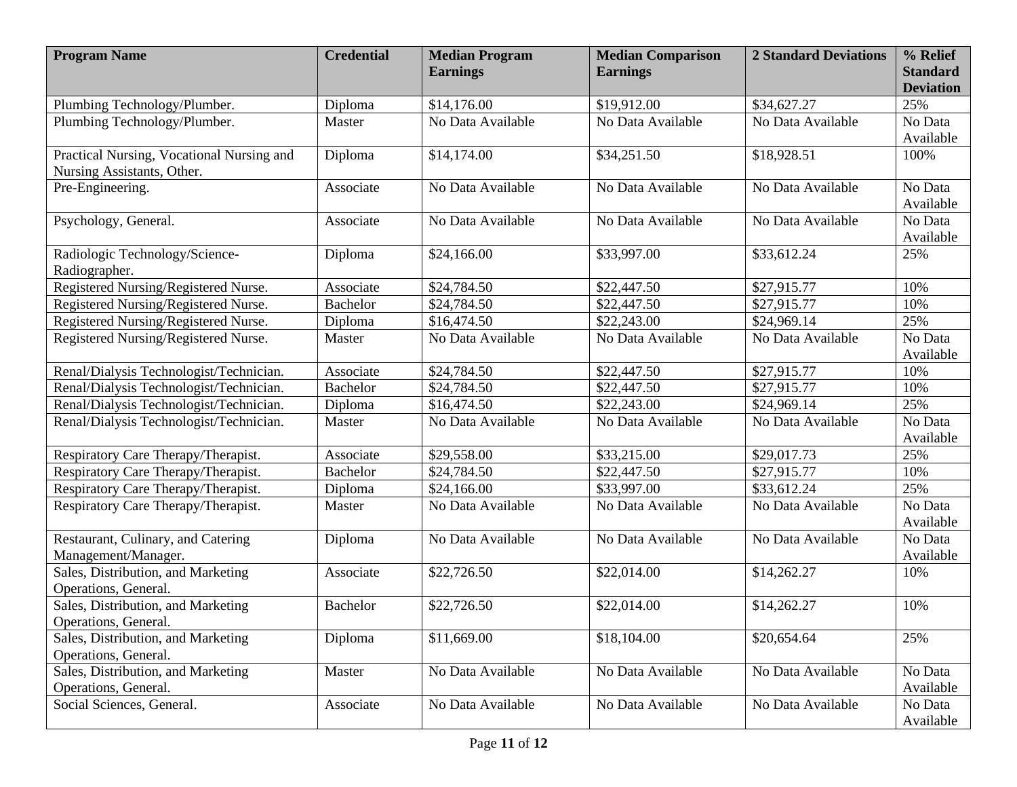| <b>Program Name</b>                       | <b>Credential</b> | <b>Median Program</b><br><b>Earnings</b> | <b>Median Comparison</b><br><b>Earnings</b> | <b>2 Standard Deviations</b> | % Relief<br><b>Standard</b> |
|-------------------------------------------|-------------------|------------------------------------------|---------------------------------------------|------------------------------|-----------------------------|
|                                           |                   |                                          |                                             |                              | <b>Deviation</b>            |
| Plumbing Technology/Plumber.              | Diploma           | \$14,176.00                              | \$19,912.00                                 | \$34,627.27                  | 25%                         |
| Plumbing Technology/Plumber.              | Master            | No Data Available                        | No Data Available                           | No Data Available            | No Data                     |
|                                           |                   |                                          |                                             |                              | Available                   |
| Practical Nursing, Vocational Nursing and | Diploma           | \$14,174.00                              | \$34,251.50                                 | \$18,928.51                  | 100%                        |
| Nursing Assistants, Other.                |                   |                                          |                                             |                              |                             |
| Pre-Engineering.                          | Associate         | No Data Available                        | No Data Available                           | No Data Available            | No Data                     |
|                                           |                   |                                          |                                             |                              | Available                   |
| Psychology, General.                      | Associate         | No Data Available                        | No Data Available                           | No Data Available            | No Data<br>Available        |
| Radiologic Technology/Science-            | Diploma           | \$24,166.00                              | \$33,997.00                                 | \$33,612.24                  | 25%                         |
| Radiographer.                             |                   |                                          |                                             |                              |                             |
| Registered Nursing/Registered Nurse.      | Associate         | \$24,784.50                              | \$22,447.50                                 | \$27,915.77                  | 10%                         |
| Registered Nursing/Registered Nurse.      | <b>Bachelor</b>   | \$24,784.50                              | \$22,447.50                                 | \$27,915.77                  | 10%                         |
| Registered Nursing/Registered Nurse.      | Diploma           | \$16,474.50                              | \$22,243.00                                 | \$24,969.14                  | 25%                         |
| Registered Nursing/Registered Nurse.      | Master            | No Data Available                        | No Data Available                           | No Data Available            | No Data                     |
|                                           |                   |                                          |                                             |                              | Available                   |
| Renal/Dialysis Technologist/Technician.   | Associate         | \$24,784.50                              | \$22,447.50                                 | \$27,915.77                  | 10%                         |
| Renal/Dialysis Technologist/Technician.   | <b>Bachelor</b>   | \$24,784.50                              | \$22,447.50                                 | \$27,915.77                  | 10%                         |
| Renal/Dialysis Technologist/Technician.   | Diploma           | \$16,474.50                              | \$22,243.00                                 | \$24,969.14                  | 25%                         |
| Renal/Dialysis Technologist/Technician.   | Master            | No Data Available                        | No Data Available                           | No Data Available            | No Data<br>Available        |
| Respiratory Care Therapy/Therapist.       | Associate         | \$29,558.00                              | \$33,215.00                                 | \$29,017.73                  | 25%                         |
| Respiratory Care Therapy/Therapist.       | <b>Bachelor</b>   | \$24,784.50                              | \$22,447.50                                 | \$27,915.77                  | 10%                         |
| Respiratory Care Therapy/Therapist.       | Diploma           | \$24,166.00                              | \$33,997.00                                 | \$33,612.24                  | 25%                         |
| Respiratory Care Therapy/Therapist.       | Master            | No Data Available                        | No Data Available                           | No Data Available            | No Data<br>Available        |
| Restaurant, Culinary, and Catering        | Diploma           | No Data Available                        | No Data Available                           | No Data Available            | No Data                     |
| Management/Manager.                       |                   |                                          |                                             |                              | Available                   |
| Sales, Distribution, and Marketing        | Associate         | \$22,726.50                              | \$22,014.00                                 | \$14,262.27                  | 10%                         |
| Operations, General.                      |                   |                                          |                                             |                              |                             |
| Sales, Distribution, and Marketing        | <b>Bachelor</b>   | \$22,726.50                              | \$22,014.00                                 | \$14,262.27                  | 10%                         |
| Operations, General.                      |                   |                                          |                                             |                              |                             |
| Sales, Distribution, and Marketing        | Diploma           | \$11,669.00                              | \$18,104.00                                 | \$20,654.64                  | 25%                         |
| Operations, General.                      |                   |                                          |                                             |                              |                             |
| Sales, Distribution, and Marketing        | Master            | No Data Available                        | No Data Available                           | No Data Available            | No Data                     |
| Operations, General.                      |                   |                                          |                                             |                              | Available                   |
| Social Sciences, General.                 | Associate         | No Data Available                        | No Data Available                           | No Data Available            | No Data                     |
|                                           |                   |                                          |                                             |                              | Available                   |